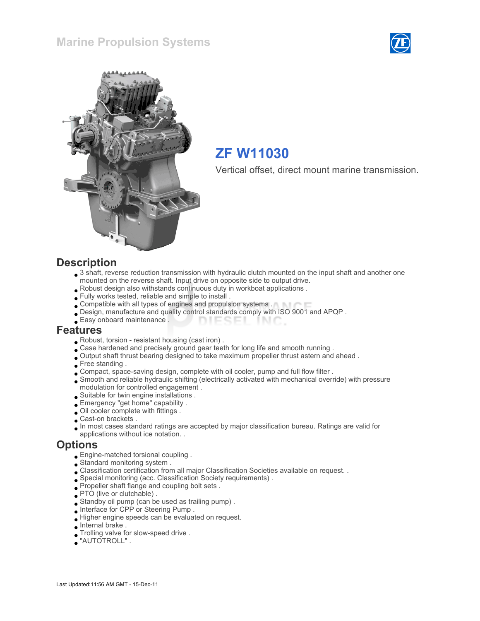



## ZF W11030

Vertical offset, direct mount marine transmission.

#### **Description**

- 3 shaft, reverse reduction transmission with hydraulic clutch mounted on the input shaft and another one mounted on the reverse shaft. Input drive on opposite side to output drive.
- Robust design also withstands continuous duty in workboat applications .
- Fully works tested, reliable and simple to install .
- Compatible with all types of engines and propulsion systems .
- Design, manufacture and quality control standards comply with ISO 9001 and APQP .
- Easy onboard maintenance . **DIESEI** INIC

#### Features

- Robust, torsion resistant housing (cast iron) .
- . Case hardened and precisely ground gear teeth for long life and smooth running .
- Output shaft thrust bearing designed to take maximum propeller thrust astern and ahead .
- Free standing .
- Compact, space-saving design, complete with oil cooler, pump and full flow filter .
- Smooth and reliable hydraulic shifting (electrically activated with mechanical override) with pressure modulation for controlled engagement .
- Suitable for twin engine installations .
- Emergency "get home" capability .
- Oil cooler complete with fittings .
- Cast-on brackets .
- In most cases standard ratings are accepted by major classification bureau. Ratings are valid for applications without ice notation. .

#### **Options**

- Engine-matched torsional coupling .
- Standard monitoring system .
- Classification certification from all major Classification Societies available on request. .
- Special monitoring (acc. Classification Society requirements) .
- Propeller shaft flange and coupling bolt sets .
- PTO (live or clutchable).
- Standby oil pump (can be used as trailing pump) .
- Interface for CPP or Steering Pump .
- Higher engine speeds can be evaluated on request.
- Internal brake .
- Trolling valve for slow-speed drive .
- "AUTOTROLL" .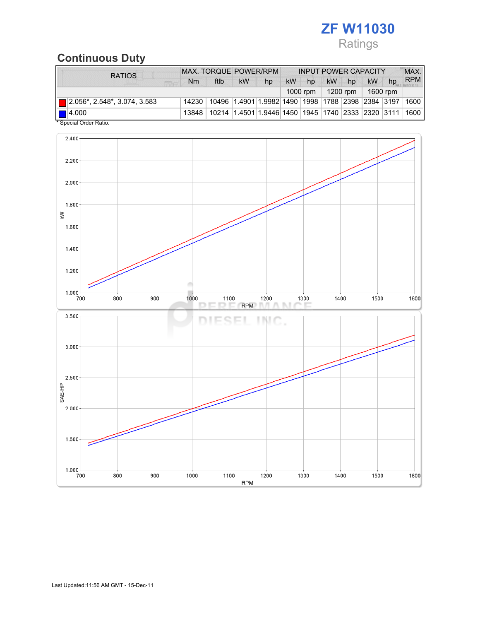## ZF W11030 Ratings

## Continuous Duty

| <b>RATIOS</b>                            | MAX. TORQUE POWER/RPM |                                                                                  |                     |    | <b>INPUT POWER CAPACITY</b> |    |           |    |    | MAX. |            |
|------------------------------------------|-----------------------|----------------------------------------------------------------------------------|---------------------|----|-----------------------------|----|-----------|----|----|------|------------|
| <b>FIRE</b>                              | Nm                    | ftlb                                                                             | <b>kW</b>           | hp | <b>kW</b>                   | hp | <b>kW</b> | hp | kW | hp   | <b>RPM</b> |
|                                          | 1000 rpm              |                                                                                  | 1200 rpm   1600 rpm |    |                             |    |           |    |    |      |            |
| $\boxed{ }$ 2.056*, 2.548*, 3.074, 3.583 |                       | 14230   10496   1.4901   1.9982   1490   1998   1788   2398   2384   3197   1600 |                     |    |                             |    |           |    |    |      |            |
| $\blacksquare$ 4.000                     |                       | 13848   10214   1.4501   1.9446   1450   1945   1740   2333   2320   3111   1600 |                     |    |                             |    |           |    |    |      |            |
| * Special Order Ratio.                   |                       |                                                                                  |                     |    |                             |    |           |    |    |      |            |

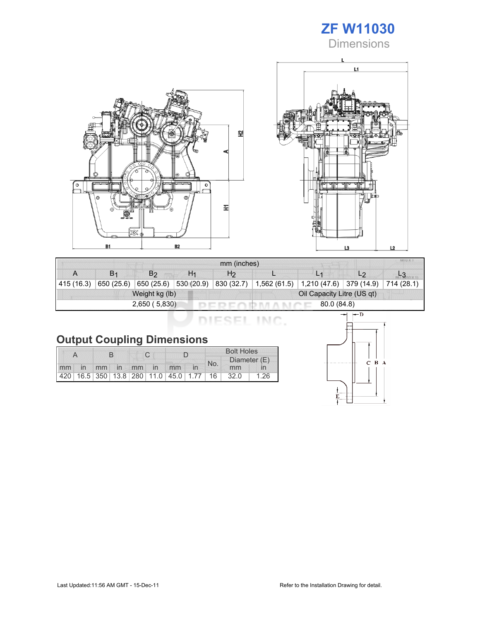# ZF W11030

**Dimensions** 





| mm (inches) |                |                |                |                            |              |                                         |                |            |  |
|-------------|----------------|----------------|----------------|----------------------------|--------------|-----------------------------------------|----------------|------------|--|
|             | B <sub>1</sub> | B <sub>2</sub> | H <sub>1</sub> | H <sub>2</sub>             |              |                                         | L <sub>2</sub> |            |  |
| 415 (16.3)  | 650 (25.6)     | 650(25.6)      | 530 (20.9)     | 830 (32.7)                 | 1,562 (61.5) | $\vert$ 1,210 (47.6) $\vert$ 379 (14.9) |                | 714 (28.1) |  |
|             |                | Weight kg (lb) |                | Oil Capacity Litre (US qt) |              |                                         |                |            |  |
|             |                | 2,650 (5,830)  |                | 80.0 (84.8)                |              |                                         |                |            |  |

DIESEL INC.

|  |  | <b>Output Coupling Dimensions</b> |
|--|--|-----------------------------------|
|--|--|-----------------------------------|

|    |    |  |             |  |                                                         |    |  | <b>Bolt Holes</b> |              |      |  |
|----|----|--|-------------|--|---------------------------------------------------------|----|--|-------------------|--------------|------|--|
|    |    |  |             |  |                                                         |    |  | No.               | Diameter (E) |      |  |
| mm | in |  | mm in mm in |  |                                                         | mm |  |                   | mm           |      |  |
|    |    |  |             |  | 420   16.5   350   13.8   280   11.0   45.0   1.77   16 |    |  |                   | 32.0         | 1.26 |  |